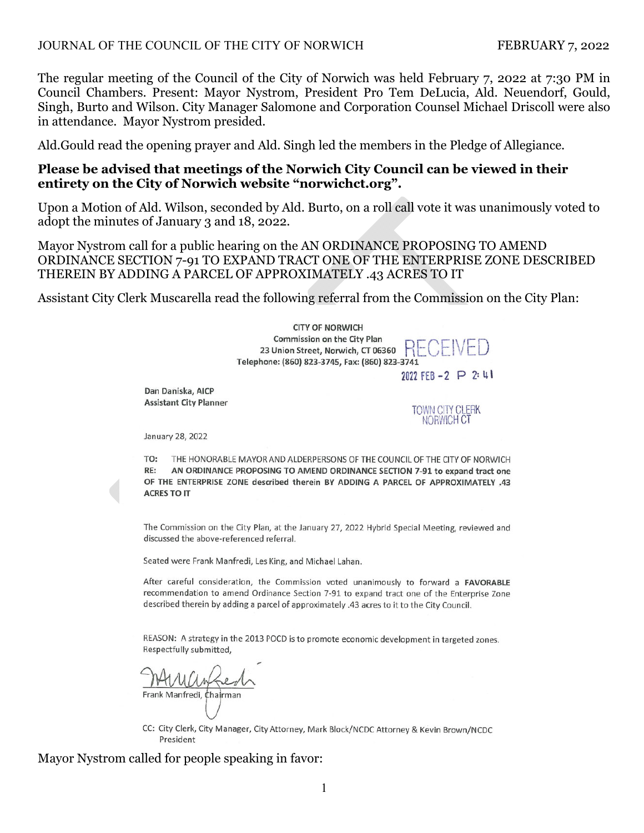#### JOURNAL OF THE COUNCIL OF THE CITY OF NORWICH FEBRUARY 7, 2022

The regular meeting of the Council of the City of Norwich was held February 7, 2022 at 7:30 PM in Council Chambers. Present: Mayor Nystrom, President Pro Tem DeLucia, Ald. Neuendorf, Gould, Singh, Burto and Wilson. City Manager Salomone and Corporation Counsel Michael Driscoll were also in attendance. Mayor Nystrom presided.

Ald.Gould read the opening prayer and Ald. Singh led the members in the Pledge of Allegiance.

#### **Please be advised that meetings of the Norwich City Council can be viewed in their entirety on the City of Norwich website "norwichct.org".**

Upon a Motion of Ald. Wilson, seconded by Ald. Burto, on a roll call vote it was unanimously voted to adopt the minutes of January 3 and 18, 2022.

Mayor Nystrom call for a public hearing on the AN ORDINANCE PROPOSING TO AMEND ORDINANCE SECTION 7-91 TO EXPAND TRACT ONE OF THE ENTERPRISE ZONE DESCRIBED THEREIN BY ADDING A PARCEL OF APPROXIMATELY .43 ACRES TO IT

Assistant City Clerk Muscarella read the following referral from the Commission on the City Plan:



REASON: A strategy in the 2013 POCD is to promote economic development in targeted zones. Respectfully submitted,

described therein by adding a parcel of approximately .43 acres to it to the City Council.

Frank Manfredi, Chairman

CC: City Clerk, City Manager, City Attorney, Mark Block/NCDC Attorney & Kevin Brown/NCDC President

Mayor Nystrom called for people speaking in favor: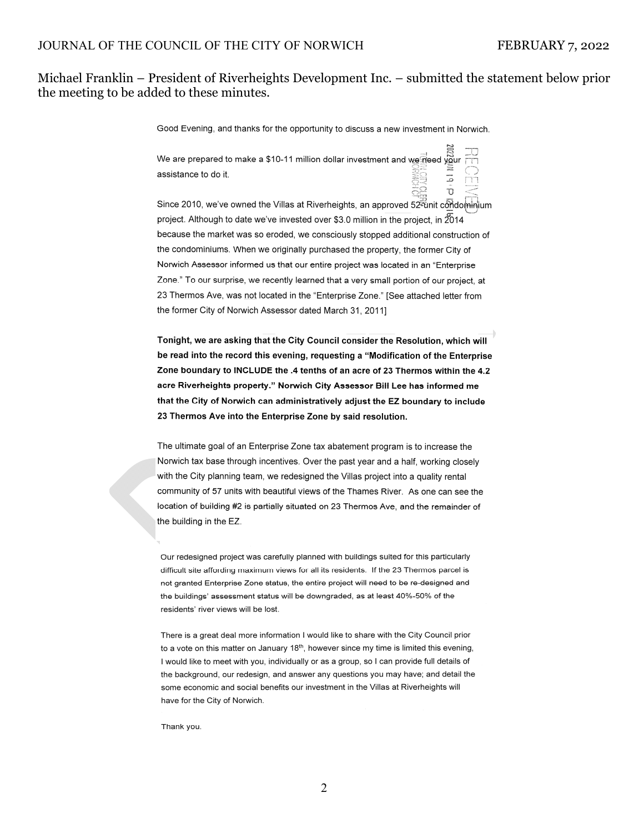#### Michael Franklin – President of Riverheights Development Inc. – submitted the statement below prior the meeting to be added to these minutes.

Good Evening, and thanks for the opportunity to discuss a new investment in Norwich.

We are prepared to make a \$10-11 million dollar investment and we head your assistance to do it.



Since 2010, we've owned the Villas at Riverheights, an approved 52<sup>2</sup> tinit condominium project. Although to date we've invested over \$3.0 million in the project, in  $2014$ because the market was so eroded, we consciously stopped additional construction of the condominiums. When we originally purchased the property, the former City of Norwich Assessor informed us that our entire project was located in an "Enterprise Zone." To our surprise, we recently learned that a very small portion of our project, at 23 Thermos Ave, was not located in the "Enterprise Zone." [See attached letter from the former City of Norwich Assessor dated March 31, 2011]

Tonight, we are asking that the City Council consider the Resolution, which will be read into the record this evening, requesting a "Modification of the Enterprise Zone boundary to INCLUDE the .4 tenths of an acre of 23 Thermos within the 4.2 acre Riverheights property." Norwich City Assessor Bill Lee has informed me that the City of Norwich can administratively adjust the EZ boundary to include 23 Thermos Ave into the Enterprise Zone by said resolution.

The ultimate goal of an Enterprise Zone tax abatement program is to increase the Norwich tax base through incentives. Over the past year and a half, working closely with the City planning team, we redesigned the Villas project into a quality rental community of 57 units with beautiful views of the Thames River. As one can see the location of building #2 is partially situated on 23 Thermos Ave, and the remainder of the building in the EZ

Our redesigned project was carefully planned with buildings suited for this particularly difficult site affording maximum views for all its residents. If the 23 Thermos parcel is not granted Enterprise Zone status, the entire project will need to be re-designed and the buildings' assessment status will be downgraded, as at least 40%-50% of the residents' river views will be lost.

There is a great deal more information I would like to share with the City Council prior to a vote on this matter on January 18<sup>th</sup>, however since my time is limited this evening, I would like to meet with you, individually or as a group, so I can provide full details of the background, our redesign, and answer any questions you may have; and detail the some economic and social benefits our investment in the Villas at Riverheights will have for the City of Norwich.

Thank you.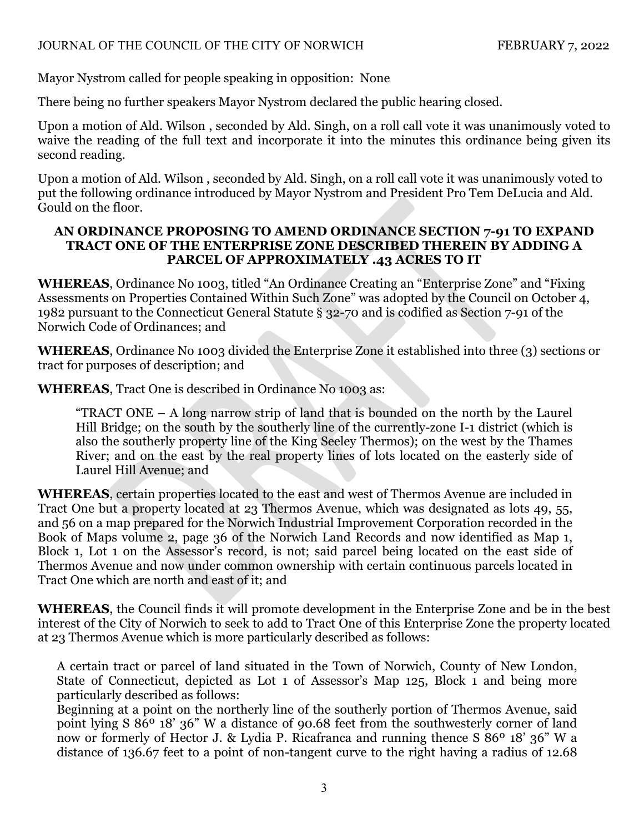Mayor Nystrom called for people speaking in opposition: None

There being no further speakers Mayor Nystrom declared the public hearing closed.

Upon a motion of Ald. Wilson , seconded by Ald. Singh, on a roll call vote it was unanimously voted to waive the reading of the full text and incorporate it into the minutes this ordinance being given its second reading.

Upon a motion of Ald. Wilson , seconded by Ald. Singh, on a roll call vote it was unanimously voted to put the following ordinance introduced by Mayor Nystrom and President Pro Tem DeLucia and Ald. Gould on the floor.

#### **AN ORDINANCE PROPOSING TO AMEND ORDINANCE SECTION 7-91 TO EXPAND TRACT ONE OF THE ENTERPRISE ZONE DESCRIBED THEREIN BY ADDING A PARCEL OF APPROXIMATELY .43 ACRES TO IT**

**WHEREAS**, Ordinance No 1003, titled "An Ordinance Creating an "Enterprise Zone" and "Fixing Assessments on Properties Contained Within Such Zone" was adopted by the Council on October 4, 1982 pursuant to the Connecticut General Statute § 32-70 and is codified as Section 7-91 of the Norwich Code of Ordinances; and

**WHEREAS**, Ordinance No 1003 divided the Enterprise Zone it established into three (3) sections or tract for purposes of description; and

**WHEREAS**, Tract One is described in Ordinance No 1003 as:

"TRACT ONE – A long narrow strip of land that is bounded on the north by the Laurel Hill Bridge; on the south by the southerly line of the currently-zone I-1 district (which is also the southerly property line of the King Seeley Thermos); on the west by the Thames River; and on the east by the real property lines of lots located on the easterly side of Laurel Hill Avenue; and

**WHEREAS**, certain properties located to the east and west of Thermos Avenue are included in Tract One but a property located at 23 Thermos Avenue, which was designated as lots 49, 55, and 56 on a map prepared for the Norwich Industrial Improvement Corporation recorded in the Book of Maps volume 2, page 36 of the Norwich Land Records and now identified as Map 1, Block 1, Lot 1 on the Assessor's record, is not; said parcel being located on the east side of Thermos Avenue and now under common ownership with certain continuous parcels located in Tract One which are north and east of it; and

**WHEREAS**, the Council finds it will promote development in the Enterprise Zone and be in the best interest of the City of Norwich to seek to add to Tract One of this Enterprise Zone the property located at 23 Thermos Avenue which is more particularly described as follows:

A certain tract or parcel of land situated in the Town of Norwich, County of New London, State of Connecticut, depicted as Lot 1 of Assessor's Map 125, Block 1 and being more particularly described as follows:

Beginning at a point on the northerly line of the southerly portion of Thermos Avenue, said point lying S 86º 18' 36" W a distance of 90.68 feet from the southwesterly corner of land now or formerly of Hector J. & Lydia P. Ricafranca and running thence S 86º 18' 36" W a distance of 136.67 feet to a point of non-tangent curve to the right having a radius of 12.68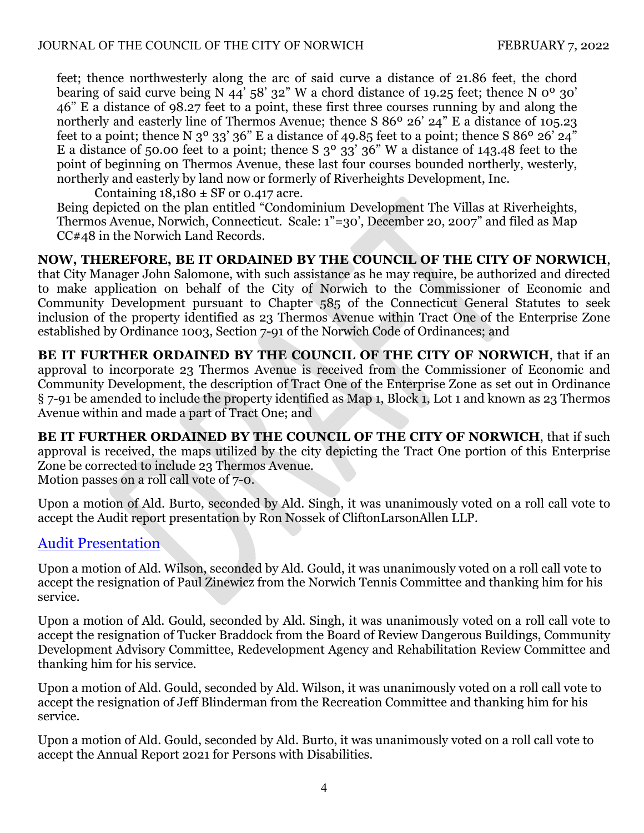feet; thence northwesterly along the arc of said curve a distance of 21.86 feet, the chord bearing of said curve being N 44'  $58'$  32" W a chord distance of 19.25 feet; thence N  $0^{\circ}$  30' 46" E a distance of 98.27 feet to a point, these first three courses running by and along the northerly and easterly line of Thermos Avenue; thence S 86<sup>o</sup> 26' 24" E a distance of 105.23 feet to a point; thence N  $3^{\circ}$  33'  $36^{\circ}$  E a distance of 49.85 feet to a point; thence S  $86^{\circ}$  26' 24" E a distance of 50.00 feet to a point; thence S  $3^{\circ}$   $33'$   $36''$  W a distance of 143.48 feet to the point of beginning on Thermos Avenue, these last four courses bounded northerly, westerly, northerly and easterly by land now or formerly of Riverheights Development, Inc.

Containing  $18,180 \pm SF$  or 0.417 acre.

Being depicted on the plan entitled "Condominium Development The Villas at Riverheights, Thermos Avenue, Norwich, Connecticut. Scale: 1"=30', December 20, 2007" and filed as Map CC#48 in the Norwich Land Records.

**NOW, THEREFORE, BE IT ORDAINED BY THE COUNCIL OF THE CITY OF NORWICH**, that City Manager John Salomone, with such assistance as he may require, be authorized and directed to make application on behalf of the City of Norwich to the Commissioner of Economic and Community Development pursuant to Chapter 585 of the Connecticut General Statutes to seek inclusion of the property identified as 23 Thermos Avenue within Tract One of the Enterprise Zone established by Ordinance 1003, Section 7-91 of the Norwich Code of Ordinances; and

**BE IT FURTHER ORDAINED BY THE COUNCIL OF THE CITY OF NORWICH**, that if an approval to incorporate 23 Thermos Avenue is received from the Commissioner of Economic and Community Development, the description of Tract One of the Enterprise Zone as set out in Ordinance § 7-91 be amended to include the property identified as Map 1, Block 1, Lot 1 and known as 23 Thermos Avenue within and made a part of Tract One; and

**BE IT FURTHER ORDAINED BY THE COUNCIL OF THE CITY OF NORWICH**, that if such approval is received, the maps utilized by the city depicting the Tract One portion of this Enterprise Zone be corrected to include 23 Thermos Avenue. Motion passes on a roll call vote of 7-0.

Upon a motion of Ald. Burto, seconded by Ald. Singh, it was unanimously voted on a roll call vote to accept the Audit report presentation by Ron Nossek of CliftonLarsonAllen LLP.

# [Audit Presentation](https://www.norwichct.org/DocumentCenter/View/8011/2021-Audit-Results-Presentation)

Upon a motion of Ald. Wilson, seconded by Ald. Gould, it was unanimously voted on a roll call vote to accept the resignation of Paul Zinewicz from the Norwich Tennis Committee and thanking him for his service.

Upon a motion of Ald. Gould, seconded by Ald. Singh, it was unanimously voted on a roll call vote to accept the resignation of Tucker Braddock from the Board of Review Dangerous Buildings, Community Development Advisory Committee, Redevelopment Agency and Rehabilitation Review Committee and thanking him for his service.

Upon a motion of Ald. Gould, seconded by Ald. Wilson, it was unanimously voted on a roll call vote to accept the resignation of Jeff Blinderman from the Recreation Committee and thanking him for his service.

Upon a motion of Ald. Gould, seconded by Ald. Burto, it was unanimously voted on a roll call vote to accept the Annual Report 2021 for Persons with Disabilities.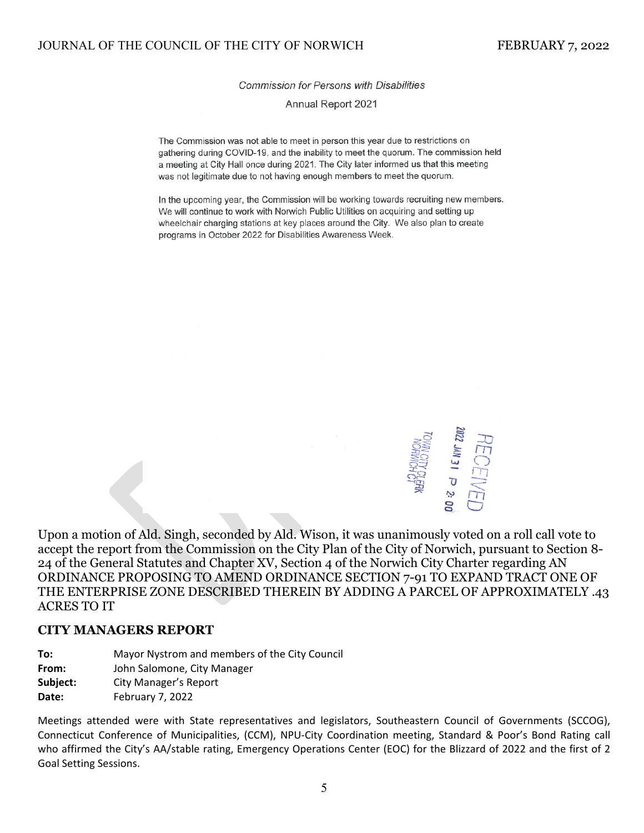Commission for Persons with Disabilities

Annual Report 2021

The Commission was not able to meet in person this year due to restrictions on gathering during COVID-19, and the inability to meet the guorum. The commission held a meeting at City Hall once during 2021. The City later informed us that this meeting was not legitimate due to not having enough members to meet the quorum.

In the upcoming year, the Commission will be working towards recruiting new members. We will continue to work with Norwich Public Utilities on acquiring and setting up wheelchair charging stations at key places around the City. We also plan to create programs in October 2022 for Disabilities Awareness Week.



Upon a motion of Ald. Singh, seconded by Ald. Wison, it was unanimously voted on a roll call vote to accept the report from the Commission on the City Plan of the City of Norwich, pursuant to Section 8- 24 of the General Statutes and Chapter XV, Section 4 of the Norwich City Charter regarding AN ORDINANCE PROPOSING TO AMEND ORDINANCE SECTION 7-91 TO EXPAND TRACT ONE OF THE ENTERPRISE ZONE DESCRIBED THEREIN BY ADDING A PARCEL OF APPROXIMATELY .43 ACRES TO IT

#### **CITY MANAGERS REPORT**

**To:** Mayor Nystrom and members of the City Council

**From:**  John Salomone, City Manager

**Subject:** City Manager's Report

**Date:** February 7, 2022

Meetings attended were with State representatives and legislators, Southeastern Council of Governments (SCCOG), Connecticut Conference of Municipalities, (CCM), NPU‐City Coordination meeting, Standard & Poor's Bond Rating call who affirmed the City's AA/stable rating, Emergency Operations Center (EOC) for the Blizzard of 2022 and the first of 2 Goal Setting Sessions.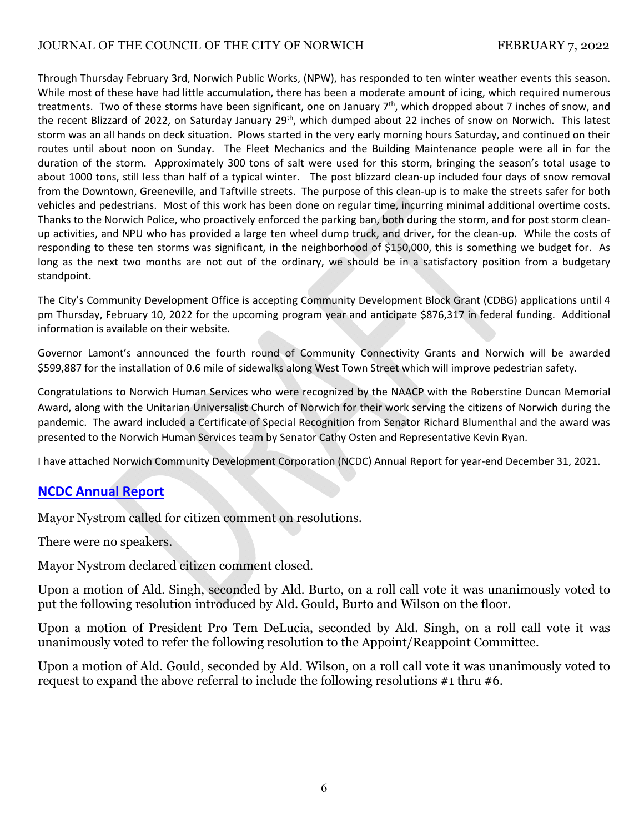## JOURNAL OF THE COUNCIL OF THE CITY OF NORWICH FEBRUARY 7, 2022

Through Thursday February 3rd, Norwich Public Works, (NPW), has responded to ten winter weather events this season. While most of these have had little accumulation, there has been a moderate amount of icing, which required numerous treatments. Two of these storms have been significant, one on January  $7<sup>th</sup>$ , which dropped about 7 inches of snow, and the recent Blizzard of 2022, on Saturday January 29<sup>th</sup>, which dumped about 22 inches of snow on Norwich. This latest storm was an all hands on deck situation. Plows started in the very early morning hours Saturday, and continued on their routes until about noon on Sunday. The Fleet Mechanics and the Building Maintenance people were all in for the duration of the storm. Approximately 300 tons of salt were used for this storm, bringing the season's total usage to about 1000 tons, still less than half of a typical winter. The post blizzard clean-up included four days of snow removal from the Downtown, Greeneville, and Taftville streets. The purpose of this clean-up is to make the streets safer for both vehicles and pedestrians. Most of this work has been done on regular time, incurring minimal additional overtime costs. Thanks to the Norwich Police, who proactively enforced the parking ban, both during the storm, and for post storm clean‐ up activities, and NPU who has provided a large ten wheel dump truck, and driver, for the clean‐up. While the costs of responding to these ten storms was significant, in the neighborhood of \$150,000, this is something we budget for. As long as the next two months are not out of the ordinary, we should be in a satisfactory position from a budgetary standpoint.

The City's Community Development Office is accepting Community Development Block Grant (CDBG) applications until 4 pm Thursday, February 10, 2022 for the upcoming program year and anticipate \$876,317 in federal funding. Additional information is available on their website.

Governor Lamont's announced the fourth round of Community Connectivity Grants and Norwich will be awarded \$599,887 for the installation of 0.6 mile of sidewalks along West Town Street which will improve pedestrian safety.

Congratulations to Norwich Human Services who were recognized by the NAACP with the Roberstine Duncan Memorial Award, along with the Unitarian Universalist Church of Norwich for their work serving the citizens of Norwich during the pandemic. The award included a Certificate of Special Recognition from Senator Richard Blumenthal and the award was presented to the Norwich Human Services team by Senator Cathy Osten and Representative Kevin Ryan.

I have attached Norwich Community Development Corporation (NCDC) Annual Report for year‐end December 31, 2021.

## **NCDC [Annual](https://www.norwichct.org/DocumentCenter/View/8012/2021-Annual-Report-NCDC) Report**

Mayor Nystrom called for citizen comment on resolutions.

There were no speakers.

Mayor Nystrom declared citizen comment closed.

Upon a motion of Ald. Singh, seconded by Ald. Burto, on a roll call vote it was unanimously voted to put the following resolution introduced by Ald. Gould, Burto and Wilson on the floor.

Upon a motion of President Pro Tem DeLucia, seconded by Ald. Singh, on a roll call vote it was unanimously voted to refer the following resolution to the Appoint/Reappoint Committee.

Upon a motion of Ald. Gould, seconded by Ald. Wilson, on a roll call vote it was unanimously voted to request to expand the above referral to include the following resolutions #1 thru #6.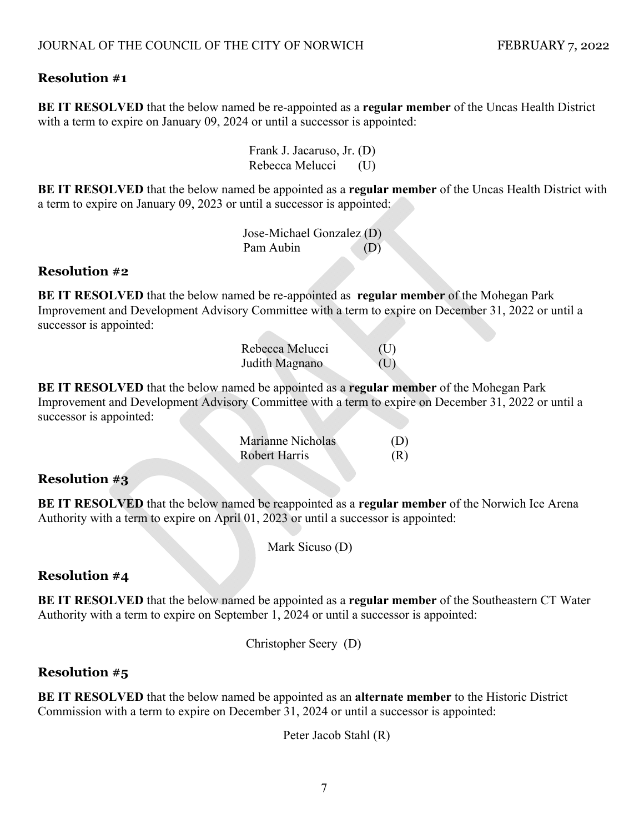## **Resolution #1**

**BE IT RESOLVED** that the below named be re-appointed as a **regular member** of the Uncas Health District with a term to expire on January 09, 2024 or until a successor is appointed:

> Frank J. Jacaruso, Jr. (D) Rebecca Melucci (U)

**BE IT RESOLVED** that the below named be appointed as a **regular member** of the Uncas Health District with a term to expire on January 09, 2023 or until a successor is appointed:

> Jose-Michael Gonzalez (D) Pam Aubin (D)

## **Resolution #2**

**BE IT RESOLVED** that the below named be re-appointed as **regular member** of the Mohegan Park Improvement and Development Advisory Committee with a term to expire on December 31, 2022 or until a successor is appointed:

| Rebecca Melucci | (U) |
|-----------------|-----|
| Judith Magnano  | (U) |

**BE IT RESOLVED** that the below named be appointed as a **regular member** of the Mohegan Park Improvement and Development Advisory Committee with a term to expire on December 31, 2022 or until a successor is appointed:

| Marianne Nicholas    | (D) |
|----------------------|-----|
| <b>Robert Harris</b> | (R) |

# **Resolution #3**

**BE IT RESOLVED** that the below named be reappointed as a **regular member** of the Norwich Ice Arena Authority with a term to expire on April 01, 2023 or until a successor is appointed:

Mark Sicuso (D)

## **Resolution #4**

**BE IT RESOLVED** that the below named be appointed as a **regular member** of the Southeastern CT Water Authority with a term to expire on September 1, 2024 or until a successor is appointed:

Christopher Seery (D)

## **Resolution #5**

**BE IT RESOLVED** that the below named be appointed as an **alternate member** to the Historic District Commission with a term to expire on December 31, 2024 or until a successor is appointed:

Peter Jacob Stahl (R)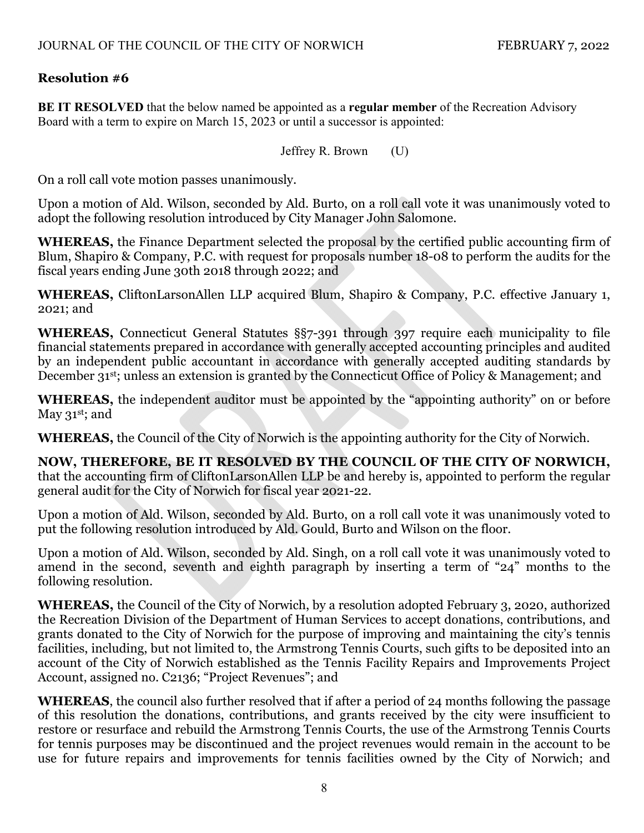# **Resolution #6**

**BE IT RESOLVED** that the below named be appointed as a **regular member** of the Recreation Advisory Board with a term to expire on March 15, 2023 or until a successor is appointed:

Jeffrey R. Brown (U)

On a roll call vote motion passes unanimously.

Upon a motion of Ald. Wilson, seconded by Ald. Burto, on a roll call vote it was unanimously voted to adopt the following resolution introduced by City Manager John Salomone.

**WHEREAS,** the Finance Department selected the proposal by the certified public accounting firm of Blum, Shapiro & Company, P.C. with request for proposals number 18-08 to perform the audits for the fiscal years ending June 30th 2018 through 2022; and

**WHEREAS,** CliftonLarsonAllen LLP acquired Blum, Shapiro & Company, P.C. effective January 1, 2021; and

**WHEREAS,** Connecticut General Statutes §§7-391 through 397 require each municipality to file financial statements prepared in accordance with generally accepted accounting principles and audited by an independent public accountant in accordance with generally accepted auditing standards by December 31<sup>st</sup>; unless an extension is granted by the Connecticut Office of Policy & Management; and

**WHEREAS,** the independent auditor must be appointed by the "appointing authority" on or before May 31<sup>st</sup>; and

**WHEREAS,** the Council of the City of Norwich is the appointing authority for the City of Norwich.

**NOW, THEREFORE, BE IT RESOLVED BY THE COUNCIL OF THE CITY OF NORWICH,** that the accounting firm of CliftonLarsonAllen LLP be and hereby is, appointed to perform the regular general audit for the City of Norwich for fiscal year 2021-22.

Upon a motion of Ald. Wilson, seconded by Ald. Burto, on a roll call vote it was unanimously voted to put the following resolution introduced by Ald. Gould, Burto and Wilson on the floor.

Upon a motion of Ald. Wilson, seconded by Ald. Singh, on a roll call vote it was unanimously voted to amend in the second, seventh and eighth paragraph by inserting a term of "24" months to the following resolution.

**WHEREAS,** the Council of the City of Norwich, by a resolution adopted February 3, 2020, authorized the Recreation Division of the Department of Human Services to accept donations, contributions, and grants donated to the City of Norwich for the purpose of improving and maintaining the city's tennis facilities, including, but not limited to, the Armstrong Tennis Courts, such gifts to be deposited into an account of the City of Norwich established as the Tennis Facility Repairs and Improvements Project Account, assigned no. C2136; "Project Revenues"; and

**WHEREAS**, the council also further resolved that if after a period of 24 months following the passage of this resolution the donations, contributions, and grants received by the city were insufficient to restore or resurface and rebuild the Armstrong Tennis Courts, the use of the Armstrong Tennis Courts for tennis purposes may be discontinued and the project revenues would remain in the account to be use for future repairs and improvements for tennis facilities owned by the City of Norwich; and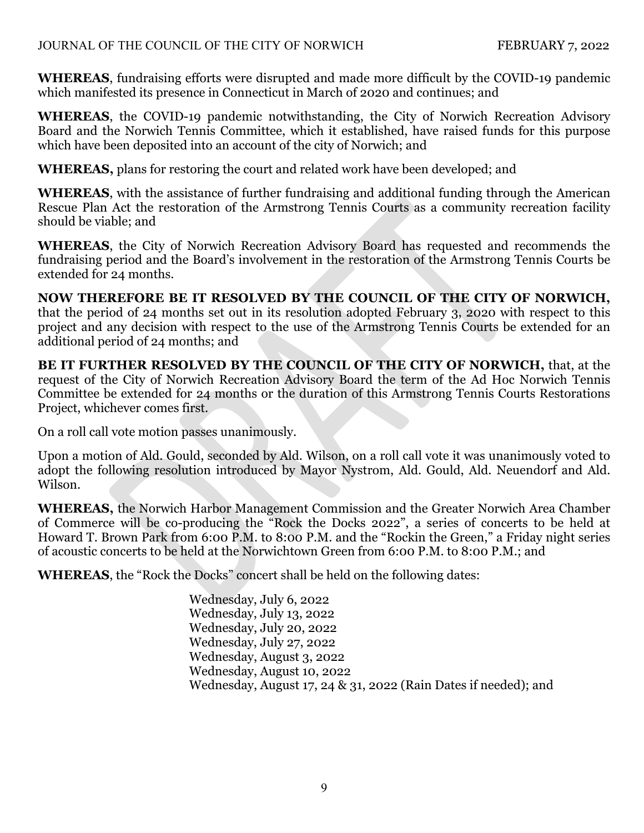## JOURNAL OF THE COUNCIL OF THE CITY OF NORWICH FEBRUARY 7, 2022

**WHEREAS**, fundraising efforts were disrupted and made more difficult by the COVID-19 pandemic which manifested its presence in Connecticut in March of 2020 and continues; and

**WHEREAS**, the COVID-19 pandemic notwithstanding, the City of Norwich Recreation Advisory Board and the Norwich Tennis Committee, which it established, have raised funds for this purpose which have been deposited into an account of the city of Norwich; and

**WHEREAS,** plans for restoring the court and related work have been developed; and

**WHEREAS**, with the assistance of further fundraising and additional funding through the American Rescue Plan Act the restoration of the Armstrong Tennis Courts as a community recreation facility should be viable; and

**WHEREAS**, the City of Norwich Recreation Advisory Board has requested and recommends the fundraising period and the Board's involvement in the restoration of the Armstrong Tennis Courts be extended for 24 months.

**NOW THEREFORE BE IT RESOLVED BY THE COUNCIL OF THE CITY OF NORWICH,** that the period of 24 months set out in its resolution adopted February 3, 2020 with respect to this project and any decision with respect to the use of the Armstrong Tennis Courts be extended for an additional period of 24 months; and

**BE IT FURTHER RESOLVED BY THE COUNCIL OF THE CITY OF NORWICH,** that, at the request of the City of Norwich Recreation Advisory Board the term of the Ad Hoc Norwich Tennis Committee be extended for 24 months or the duration of this Armstrong Tennis Courts Restorations Project, whichever comes first.

On a roll call vote motion passes unanimously.

Upon a motion of Ald. Gould, seconded by Ald. Wilson, on a roll call vote it was unanimously voted to adopt the following resolution introduced by Mayor Nystrom, Ald. Gould, Ald. Neuendorf and Ald. Wilson.

**WHEREAS,** the Norwich Harbor Management Commission and the Greater Norwich Area Chamber of Commerce will be co-producing the "Rock the Docks 2022", a series of concerts to be held at Howard T. Brown Park from 6:00 P.M. to 8:00 P.M. and the "Rockin the Green," a Friday night series of acoustic concerts to be held at the Norwichtown Green from 6:00 P.M. to 8:00 P.M.; and

**WHEREAS**, the "Rock the Docks" concert shall be held on the following dates:

Wednesday, July 6, 2022 Wednesday, July 13, 2022 Wednesday, July 20, 2022 Wednesday, July 27, 2022 Wednesday, August 3, 2022 Wednesday, August 10, 2022 Wednesday, August 17, 24 & 31, 2022 (Rain Dates if needed); and